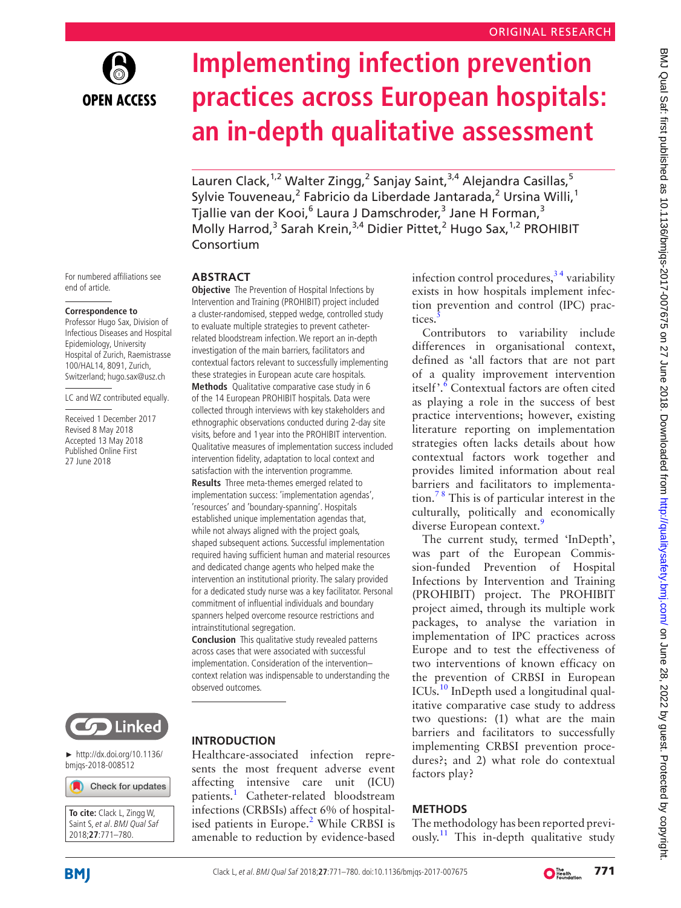

For numbered affiliations see

**Correspondence to** Professor Hugo Sax, Division of Infectious Diseases and Hospital Epidemiology, University Hospital of Zurich, Raemistrasse 100/HAL14, 8091, Zurich, Switzerland; hugo.sax@usz.ch LC and WZ contributed equally. Received 1 December 2017 Revised 8 May 2018 Accepted 13 May 2018 Published Online First 27 June 2018

end of article.

# **Implementing infection prevention practices across European hospitals: an in-depth qualitative assessment**

Lauren Clack,  $1,2$  Walter Zingg,  $2$  Sanjay Saint,  $3,4$  Alejandra Casillas,  $5$ Sylvie Touveneau,<sup>2</sup> Fabricio da Liberdade Jantarada,<sup>2</sup> Ursina Willi,<sup>1</sup> Tjallie van der Kooi,<sup>6</sup> Laura J Damschroder,<sup>3</sup> Jane H Forman,<sup>3</sup> Molly Harrod,<sup>3</sup> Sarah Krein,<sup>3,4</sup> Didier Pittet,<sup>2</sup> Hugo Sax,<sup>1,2</sup> PROHIBIT Consortium

### **Abstract**

**Objective** The Prevention of Hospital Infections by Intervention and Training (PROHIBIT) project included a cluster-randomised, stepped wedge, controlled study to evaluate multiple strategies to prevent catheterrelated bloodstream infection. We report an in-depth investigation of the main barriers, facilitators and contextual factors relevant to successfully implementing these strategies in European acute care hospitals. **Methods** Qualitative comparative case study in 6 of the 14 European PROHIBIT hospitals. Data were collected through interviews with key stakeholders and ethnographic observations conducted during 2-day site visits, before and 1 year into the PROHIBIT intervention. Qualitative measures of implementation success included intervention fidelity, adaptation to local context and satisfaction with the intervention programme. **Results** Three meta-themes emerged related to implementation success: 'implementation agendas', 'resources' and 'boundary-spanning'. Hospitals established unique implementation agendas that, while not always aligned with the project goals, shaped subsequent actions. Successful implementation required having sufficient human and material resources and dedicated change agents who helped make the intervention an institutional priority. The salary provided for a dedicated study nurse was a key facilitator. Personal commitment of influential individuals and boundary spanners helped overcome resource restrictions and intrainstitutional segregation.

**Conclusion** This qualitative study revealed patterns across cases that were associated with successful implementation. Consideration of the intervention– context relation was indispensable to understanding the observed outcomes.



► [http://dx.doi.org/10.1136/](http://dx.doi.org/10.1136/bmjqs-2018-008512) [bmjqs-2018-008512](http://dx.doi.org/10.1136/bmjqs-2018-008512)





# **Introduction**

Healthcare-associated infection represents the most frequent adverse event affecting intensive care unit (ICU) patients.<sup>1</sup> Catheter-related bloodstream infections (CRBSIs) affect 6% of hospital-ised patients in Europe.<sup>[2](#page-8-1)</sup> While CRBSI is amenable to reduction by evidence-based

infection control procedures,  $3<sup>4</sup>$  variability exists in how hospitals implement infection prevention and control (IPC) practices.<sup>5</sup>

Contributors to variability include differences in organisational context, defined as 'all factors that are not part of a quality improvement intervention itself'.<sup>[6](#page-8-4)</sup> Contextual factors are often cited as playing a role in the success of best practice interventions; however, existing literature reporting on implementation strategies often lacks details about how contextual factors work together and provides limited information about real barriers and facilitators to implementation.[7 8](#page-8-5) This is of particular interest in the culturally, politically and economically diverse European context.

The current study, termed 'InDepth', was part of the European Commission-funded Prevention of Hospital Infections by Intervention and Training (PROHIBIT) project. The PROHIBIT project aimed, through its multiple work packages, to analyse the variation in implementation of IPC practices across Europe and to test the effectiveness of two interventions of known efficacy on the prevention of CRBSI in European ICUs.<sup>[10](#page-8-7)</sup> InDepth used a longitudinal qualitative comparative case study to address two questions: (1) what are the main barriers and facilitators to successfully implementing CRBSI prevention procedures?; and 2) what role do contextual factors play?

# **Methods**

The methodology has been reported previously.<sup>11</sup> This in-depth qualitative study

**BMJ** 

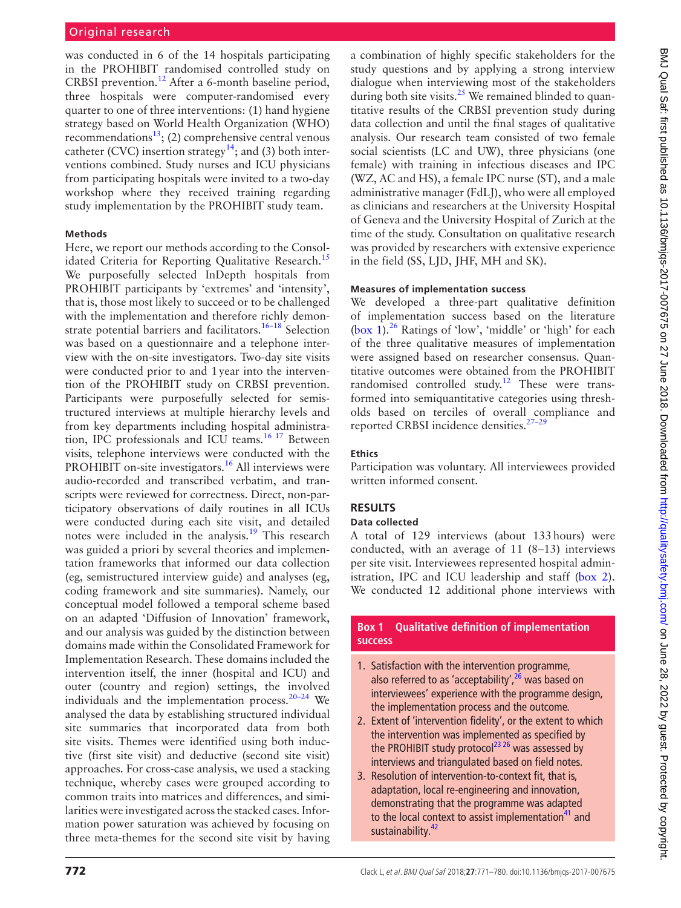was conducted in 6 of the 14 hospitals participating in the PROHIBIT randomised controlled study on CRBSI prevention.<sup>[12](#page-8-9)</sup> After a 6-month baseline period, three hospitals were computer-randomised every quarter to one of three interventions: (1) hand hygiene strategy based on World Health Organization (WHO) recommendations $^{13}$ ; (2) comprehensive central venous catheter (CVC) insertion strategy<sup>[14](#page-9-1)</sup>; and (3) both interventions combined. Study nurses and ICU physicians from participating hospitals were invited to a two-day workshop where they received training regarding study implementation by the PROHIBIT study team.

# **Methods**

Here, we report our methods according to the Consolidated Criteria for Reporting Qualitative Research.<sup>15</sup> We purposefully selected InDepth hospitals from PROHIBIT participants by 'extremes' and 'intensity', that is, those most likely to succeed or to be challenged with the implementation and therefore richly demonstrate potential barriers and facilitators.<sup>16–18</sup> Selection was based on a questionnaire and a telephone interview with the on-site investigators. Two-day site visits were conducted prior to and 1year into the intervention of the PROHIBIT study on CRBSI prevention. Participants were purposefully selected for semistructured interviews at multiple hierarchy levels and from key departments including hospital administra-tion, IPC professionals and ICU teams.<sup>[16 17](#page-9-3)</sup> Between visits, telephone interviews were conducted with the PROHIBIT on-site investigators.<sup>16</sup> All interviews were audio-recorded and transcribed verbatim, and transcripts were reviewed for correctness. Direct, non-participatory observations of daily routines in all ICUs were conducted during each site visit, and detailed notes were included in the analysis.<sup>[19](#page-9-4)</sup> This research was guided a priori by several theories and implementation frameworks that informed our data collection (eg, semistructured interview guide) and analyses (eg, coding framework and site summaries). Namely, our conceptual model followed a temporal scheme based on an adapted 'Diffusion of Innovation' framework, and our analysis was guided by the distinction between domains made within the Consolidated Framework for Implementation Research. These domains included the intervention itself, the inner (hospital and ICU) and outer (country and region) settings, the involved individuals and the implementation process. $20-24$  We analysed the data by establishing structured individual site summaries that incorporated data from both site visits. Themes were identified using both inductive (first site visit) and deductive (second site visit) approaches. For cross-case analysis, we used a stacking technique, whereby cases were grouped according to common traits into matrices and differences, and similarities were investigated across the stacked cases. Information power saturation was achieved by focusing on three meta-themes for the second site visit by having

a combination of highly specific stakeholders for the study questions and by applying a strong interview dialogue when interviewing most of the stakeholders during both site visits. $^{25}$  $^{25}$  $^{25}$  We remained blinded to quantitative results of the CRBSI prevention study during data collection and until the final stages of qualitative analysis. Our research team consisted of two female social scientists (LC and UW), three physicians (one female) with training in infectious diseases and IPC (WZ, AC and HS), a female IPC nurse (ST), and a male administrative manager (FdLJ), who were all employed as clinicians and researchers at the University Hospital of Geneva and the University Hospital of Zurich at the time of the study. Consultation on qualitative research was provided by researchers with extensive experience in the field (SS, LJD, JHF, MH and SK).

### **Measures of implementation success**

We developed a three-part qualitative definition of implementation success based on the literature  $(box 1).<sup>26</sup>$  $(box 1).<sup>26</sup>$  $(box 1).<sup>26</sup>$  $(box 1).<sup>26</sup>$  $(box 1).<sup>26</sup>$  Ratings of 'low', 'middle' or 'high' for each of the three qualitative measures of implementation were assigned based on researcher consensus. Quantitative outcomes were obtained from the PROHIBIT randomised controlled study.<sup>12</sup> These were transformed into semiquantitative categories using thresholds based on terciles of overall compliance and reported CRBSI incidence densities.[27–29](#page-9-8)

# **Ethics**

Participation was voluntary. All interviewees provided written informed consent.

# **Results**

# **Data collected**

A total of 129 interviews (about 133hours) were conducted, with an average of 11 (8–13) interviews per site visit. Interviewees represented hospital administration, IPC and ICU leadership and staff [\(box](#page-2-0) 2). We conducted 12 additional phone interviews with

### **Box 1 Qualitative definition of implementation success**

- <span id="page-1-0"></span>1. Satisfaction with the intervention programme, also referred to as 'acceptability',  $26$  was based on interviewees' experience with the programme design, the implementation process and the outcome.
- 2. Extent of 'intervention fidelity', or the extent to which the intervention was implemented as specified by the PROHIBIT study protocol<sup>23 26</sup> was assessed by interviews and triangulated based on field notes.
- 3. Resolution of intervention-to-context fit, that is, adaptation, local re-engineering and innovation, demonstrating that the programme was adapted to the local context to assist implementation $41$  and sustainability.<sup>42</sup>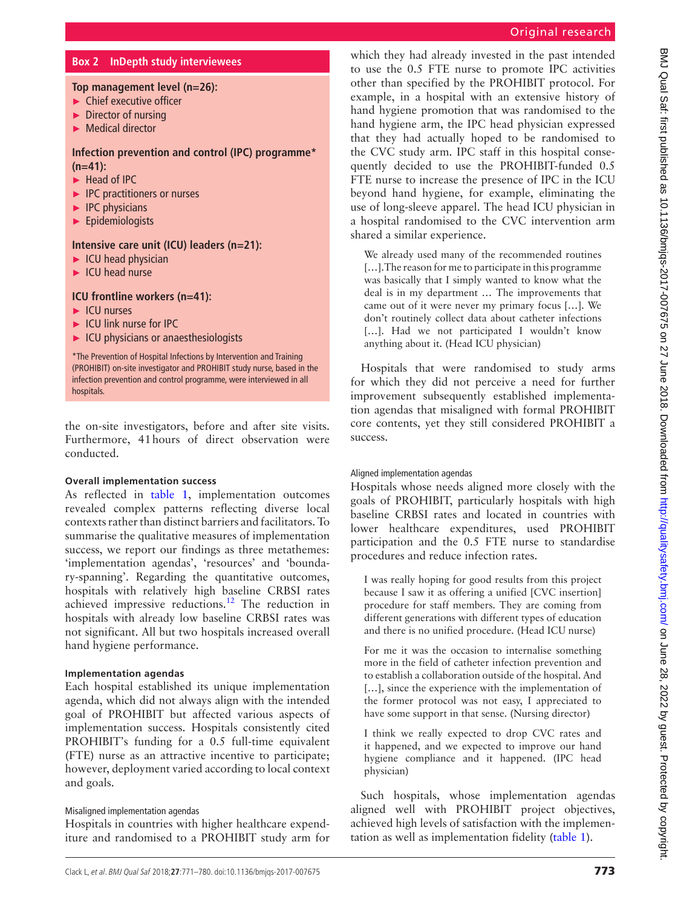# BMJ Qual Saf: first published as 10.1136/bnigs-2017-007675 on 27 June 2018. Downloaded from http://qualitysafety.bnj.com/ on June 28, 2022 by guest. Protected by copyright BMJ Qual Sat: first published as 10.1136/bmjqs-2017-007675 on 27 June 2018. Downloaded from <http://qualitysafety.bmj.com/> on June 28, 2022 by guest. Protected by copyright.

# **Box 2 InDepth study interviewees**

### <span id="page-2-0"></span>**Top management level (n=26):**

- ► Chief executive officer
- ► Director of nursing
- ► Medical director

### **Infection prevention and control (IPC) programme\* (n=41):**

- ► Head of IPC
- ► IPC practitioners or nurses
- ► IPC physicians
- ► Epidemiologists

# **Intensive care unit (ICU) leaders (n=21):**

- $\blacktriangleright$  ICU head physician
- ► ICU head nurse

# **ICU frontline workers (n=41):**

- ► ICU nurses
- ► ICU link nurse for IPC
- ► ICU physicians or anaesthesiologists

\*The Prevention of Hospital Infections by Intervention and Training (PROHIBIT) on-site investigator and PROHIBIT study nurse, based in the infection prevention and control programme, were interviewed in all hospitals.

the on-site investigators, before and after site visits. Furthermore, 41hours of direct observation were conducted.

# **Overall implementation success**

As reflected in [table](#page-3-0) 1, implementation outcomes revealed complex patterns reflecting diverse local contexts rather than distinct barriers and facilitators. To summarise the qualitative measures of implementation success, we report our findings as three metathemes: 'implementation agendas', 'resources' and 'boundary-spanning'. Regarding the quantitative outcomes, hospitals with relatively high baseline CRBSI rates achieved impressive reductions.[12](#page-8-9) The reduction in hospitals with already low baseline CRBSI rates was not significant. All but two hospitals increased overall hand hygiene performance.

# **Implementation agendas**

Each hospital established its unique implementation agenda, which did not always align with the intended goal of PROHIBIT but affected various aspects of implementation success. Hospitals consistently cited PROHIBIT's funding for a 0.5 full-time equivalent (FTE) nurse as an attractive incentive to participate; however, deployment varied according to local context and goals.

# Misaligned implementation agendas

Hospitals in countries with higher healthcare expenditure and randomised to a PROHIBIT study arm for which they had already invested in the past intended to use the 0.5 FTE nurse to promote IPC activities other than specified by the PROHIBIT protocol. For example, in a hospital with an extensive history of hand hygiene promotion that was randomised to the hand hygiene arm, the IPC head physician expressed that they had actually hoped to be randomised to the CVC study arm. IPC staff in this hospital consequently decided to use the PROHIBIT-funded 0.5 FTE nurse to increase the presence of IPC in the ICU beyond hand hygiene, for example, eliminating the use of long-sleeve apparel. The head ICU physician in a hospital randomised to the CVC intervention arm shared a similar experience.

We already used many of the recommended routines [...]. The reason for me to participate in this programme was basically that I simply wanted to know what the deal is in my department … The improvements that came out of it were never my primary focus […]. We don't routinely collect data about catheter infections [...]. Had we not participated I wouldn't know anything about it. (Head ICU physician)

Hospitals that were randomised to study arms for which they did not perceive a need for further improvement subsequently established implementation agendas that misaligned with formal PROHIBIT core contents, yet they still considered PROHIBIT a success.

# Aligned implementation agendas

Hospitals whose needs aligned more closely with the goals of PROHIBIT, particularly hospitals with high baseline CRBSI rates and located in countries with lower healthcare expenditures, used PROHIBIT participation and the 0.5 FTE nurse to standardise procedures and reduce infection rates.

I was really hoping for good results from this project because I saw it as offering a unified [CVC insertion] procedure for staff members. They are coming from different generations with different types of education and there is no unified procedure. (Head ICU nurse)

For me it was the occasion to internalise something more in the field of catheter infection prevention and to establish a collaboration outside of the hospital. And […], since the experience with the implementation of the former protocol was not easy, I appreciated to have some support in that sense. (Nursing director)

I think we really expected to drop CVC rates and it happened, and we expected to improve our hand hygiene compliance and it happened. (IPC head physician)

Such hospitals, whose implementation agendas aligned well with PROHIBIT project objectives, achieved high levels of satisfaction with the implementation as well as implementation fidelity ([table](#page-3-0) 1).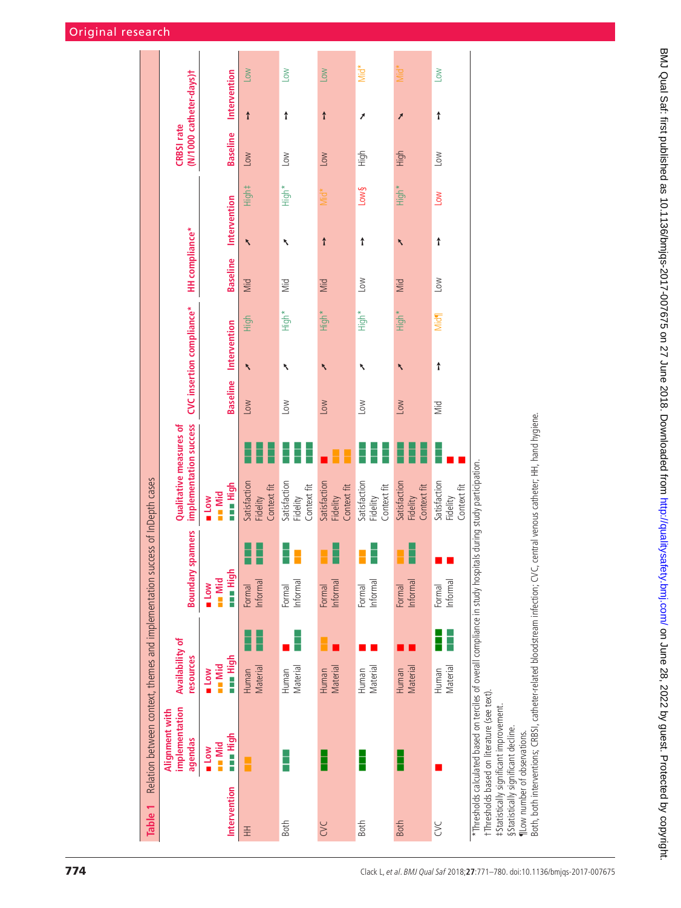| Original research |  |
|-------------------|--|
|-------------------|--|

<span id="page-3-0"></span>

| Table 1                                                                    | Relation between context, themes and implementation success of InDepth cases                                                                                                                                                                                                                           |                                       |                                       |                          |                                                   |                           |              |                   |                       |              |                   |                                              |              |               |
|----------------------------------------------------------------------------|--------------------------------------------------------------------------------------------------------------------------------------------------------------------------------------------------------------------------------------------------------------------------------------------------------|---------------------------------------|---------------------------------------|--------------------------|---------------------------------------------------|---------------------------|--------------|-------------------|-----------------------|--------------|-------------------|----------------------------------------------|--------------|---------------|
|                                                                            | implementation<br>Alignment with<br>agendas                                                                                                                                                                                                                                                            | Availability of<br>resources          |                                       | <b>Boundary spanners</b> | implementation success<br>Qualitative measures of | CVC insertion compliance* |              |                   | <b>HH</b> compliance* |              |                   | (N/1000 catheter-days)t<br><b>CRBSI</b> rate |              |               |
| Intervention                                                               | mum High<br>$\blacksquare$ Mid<br>low                                                                                                                                                                                                                                                                  | men High<br>$\blacksquare$ Mid<br>low | mei High<br>$\blacksquare$ Mid<br>uon |                          | mun High<br>$\blacksquare$ Mid<br>$\frac{1}{2}$   | <b>Baseline</b>           | Intervention |                   | <b>Baseline</b>       | Intervention |                   | <b>Baseline</b>                              | Intervention |               |
| E                                                                          |                                                                                                                                                                                                                                                                                                        | Material<br>Human                     | Informal<br><b>Formal</b>             |                          | Satisfaction<br>Context fit<br>Fidelity           | Low                       | ٦            | High              | Mid                   | ٦            | Hight             | Low                                          | ↑            | Low           |
| <b>Both</b>                                                                | İ                                                                                                                                                                                                                                                                                                      | Material<br>Human                     | Informal<br>Formal                    |                          | Satisfaction<br>Context fit<br>Fidelity           | $_{\text{LOW}}$           | ٦            | High <sup>*</sup> | Mid                   | ٦            | High <sup>*</sup> | Low                                          | ↑            | $\geq$        |
| <b>SYC</b>                                                                 |                                                                                                                                                                                                                                                                                                        | Material<br>Human                     | Informal<br>Formal                    |                          | Satisfaction<br>Context fit<br>Fidelity           | $\overline{\text{S}}$     | ٦            | High <sup>*</sup> | Mid                   | $\uparrow$   | Mid*              | L <sub>OW</sub>                              | $\uparrow$   | $\varepsilon$ |
| <b>Both</b>                                                                |                                                                                                                                                                                                                                                                                                        | Material<br>Human                     | Informal<br>Formal                    |                          | Satisfaction<br>Context fit<br>Fidelity           | Low                       | ٦            | High <sup>*</sup> | Low                   | ↑            | 2000              | High                                         | ∕            | Mid*          |
| <b>Both</b>                                                                |                                                                                                                                                                                                                                                                                                        | Material<br>Human                     | Informal<br>Formal                    |                          | Satisfaction<br>Context fit<br>Fidelity           | LOW                       | ٦            | High <sup>*</sup> | Mid                   | ٦            | High <sup>*</sup> | High                                         | ∕            | ∗<br>⊠iid     |
| <b>SC</b>                                                                  |                                                                                                                                                                                                                                                                                                        | Material<br>Human                     | Informal<br>Formal                    |                          | Satisfaction<br>Context fit<br>Fidelity           | Mid                       | ↑            | Mid¶              | Low                   | ↑            | Low               | Low                                          | ↑            | $\leq$        |
| §Statistically significant decline.<br><b>ILow number of observations.</b> | Both, both interventions; CRBSI, catheter-related bloodstream infection; CVC, central venous catheter; HH, hand hygiene.<br>*Thresholds calculated based on terciles of overall compliance in study hospitals<br>tThresholds based on literature (see text).<br>#Statistically significant improvement |                                       |                                       |                          | during study participation.                       |                           |              |                   |                       |              |                   |                                              |              |               |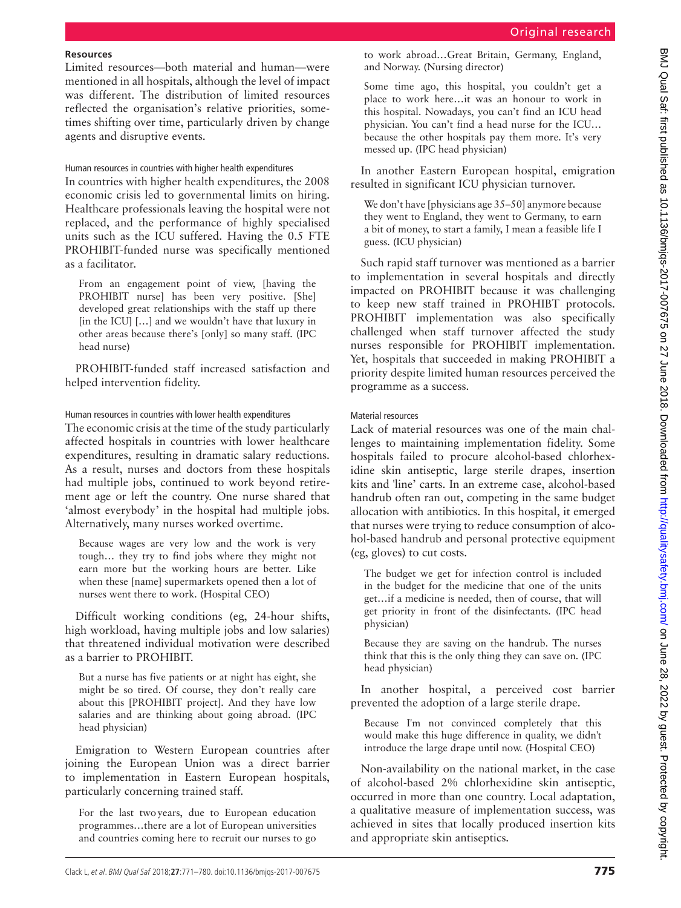# BMJ Qual Saf: first published as 10.1136/bnigs-2017-007675 on 27 June 2018. Downloaded from http://qualitysafety.bnj.com/ on June 28, 2022 by guest. Protected by copyright BMJ Qual Sat: first published as 10.1136/bmjqs-2017-007675 on 27 June 2018. Downloaded from <http://qualitysafety.bmj.com/> on June 28, 2022 by guest. Protected by copyright.

# **Resources**

Limited resources—both material and human—were mentioned in all hospitals, although the level of impact was different. The distribution of limited resources reflected the organisation's relative priorities, sometimes shifting over time, particularly driven by change agents and disruptive events.

# Human resources in countries with higher health expenditures

In countries with higher health expenditures, the 2008 economic crisis led to governmental limits on hiring. Healthcare professionals leaving the hospital were not replaced, and the performance of highly specialised units such as the ICU suffered. Having the 0.5 FTE PROHIBIT-funded nurse was specifically mentioned as a facilitator.

From an engagement point of view, [having the PROHIBIT nurse] has been very positive. [She] developed great relationships with the staff up there [in the ICU] […] and we wouldn't have that luxury in other areas because there's [only] so many staff. (IPC head nurse)

PROHIBIT-funded staff increased satisfaction and helped intervention fidelity.

# Human resources in countries with lower health expenditures

The economic crisis at the time of the study particularly affected hospitals in countries with lower healthcare expenditures, resulting in dramatic salary reductions. As a result, nurses and doctors from these hospitals had multiple jobs, continued to work beyond retirement age or left the country. One nurse shared that 'almost everybody' in the hospital had multiple jobs. Alternatively, many nurses worked overtime.

Because wages are very low and the work is very tough… they try to find jobs where they might not earn more but the working hours are better. Like when these [name] supermarkets opened then a lot of nurses went there to work. (Hospital CEO)

Difficult working conditions (eg, 24-hour shifts, high workload, having multiple jobs and low salaries) that threatened individual motivation were described as a barrier to PROHIBIT.

But a nurse has five patients or at night has eight, she might be so tired. Of course, they don't really care about this [PROHIBIT project]. And they have low salaries and are thinking about going abroad. (IPC head physician)

Emigration to Western European countries after joining the European Union was a direct barrier to implementation in Eastern European hospitals, particularly concerning trained staff.

For the last twoyears, due to European education programmes…there are a lot of European universities and countries coming here to recruit our nurses to go

to work abroad…Great Britain, Germany, England, and Norway. (Nursing director)

Some time ago, this hospital, you couldn't get a place to work here…it was an honour to work in this hospital. Nowadays, you can't find an ICU head physician. You can't find a head nurse for the ICU… because the other hospitals pay them more. It's very messed up. (IPC head physician)

In another Eastern European hospital, emigration resulted in significant ICU physician turnover.

We don't have [physicians age 35-50] anymore because they went to England, they went to Germany, to earn a bit of money, to start a family, I mean a feasible life I guess. (ICU physician)

Such rapid staff turnover was mentioned as a barrier to implementation in several hospitals and directly impacted on PROHIBIT because it was challenging to keep new staff trained in PROHIBT protocols. PROHIBIT implementation was also specifically challenged when staff turnover affected the study nurses responsible for PROHIBIT implementation. Yet, hospitals that succeeded in making PROHIBIT a priority despite limited human resources perceived the programme as a success.

# Material resources

Lack of material resources was one of the main challenges to maintaining implementation fidelity. Some hospitals failed to procure alcohol-based chlorhexidine skin antiseptic, large sterile drapes, insertion kits and 'line' carts. In an extreme case, alcohol-based handrub often ran out, competing in the same budget allocation with antibiotics. In this hospital, it emerged that nurses were trying to reduce consumption of alcohol-based handrub and personal protective equipment (eg, gloves) to cut costs.

The budget we get for infection control is included in the budget for the medicine that one of the units get…if a medicine is needed, then of course, that will get priority in front of the disinfectants. (IPC head physician)

Because they are saving on the handrub. The nurses think that this is the only thing they can save on. (IPC head physician)

In another hospital, a perceived cost barrier prevented the adoption of a large sterile drape.

Because I'm not convinced completely that this would make this huge difference in quality, we didn't introduce the large drape until now. (Hospital CEO)

Non-availability on the national market, in the case of alcohol-based 2% chlorhexidine skin antiseptic, occurred in more than one country. Local adaptation, a qualitative measure of implementation success, was achieved in sites that locally produced insertion kits and appropriate skin antiseptics.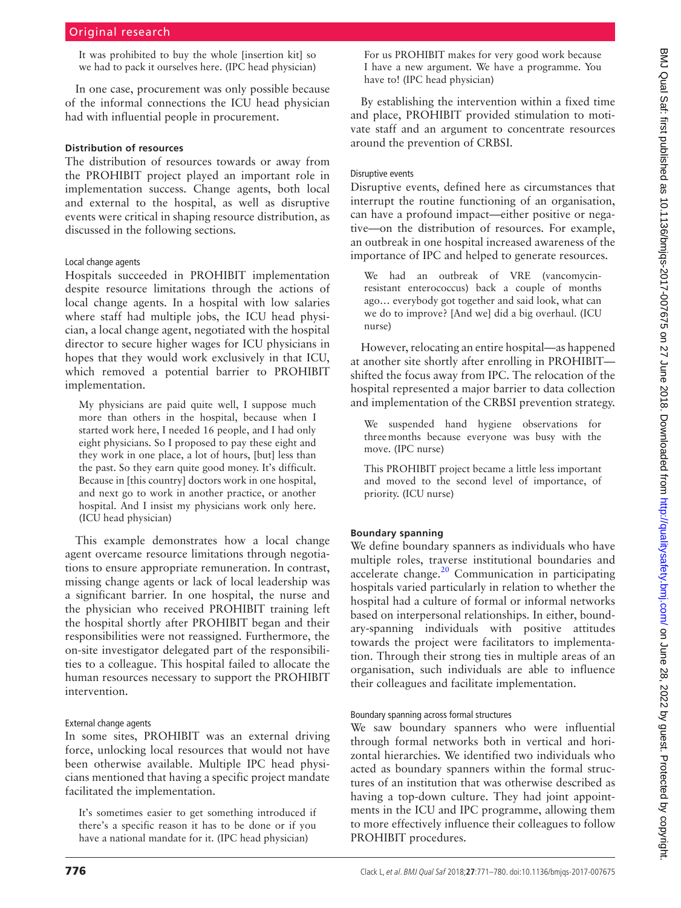### Original research

It was prohibited to buy the whole [insertion kit] so we had to pack it ourselves here. (IPC head physician)

In one case, procurement was only possible because of the informal connections the ICU head physician had with influential people in procurement.

### **Distribution of resources**

The distribution of resources towards or away from the PROHIBIT project played an important role in implementation success. Change agents, both local and external to the hospital, as well as disruptive events were critical in shaping resource distribution, as discussed in the following sections.

### Local change agents

Hospitals succeeded in PROHIBIT implementation despite resource limitations through the actions of local change agents. In a hospital with low salaries where staff had multiple jobs, the ICU head physician, a local change agent, negotiated with the hospital director to secure higher wages for ICU physicians in hopes that they would work exclusively in that ICU, which removed a potential barrier to PROHIBIT implementation.

My physicians are paid quite well, I suppose much more than others in the hospital, because when I started work here, I needed 16 people, and I had only eight physicians. So I proposed to pay these eight and they work in one place, a lot of hours, [but] less than the past. So they earn quite good money. It's difficult. Because in [this country] doctors work in one hospital, and next go to work in another practice, or another hospital. And I insist my physicians work only here. (ICU head physician)

This example demonstrates how a local change agent overcame resource limitations through negotiations to ensure appropriate remuneration. In contrast, missing change agents or lack of local leadership was a significant barrier. In one hospital, the nurse and the physician who received PROHIBIT training left the hospital shortly after PROHIBIT began and their responsibilities were not reassigned. Furthermore, the on-site investigator delegated part of the responsibilities to a colleague. This hospital failed to allocate the human resources necessary to support the PROHIBIT intervention.

### External change agents

In some sites, PROHIBIT was an external driving force, unlocking local resources that would not have been otherwise available. Multiple IPC head physicians mentioned that having a specific project mandate facilitated the implementation.

It's sometimes easier to get something introduced if there's a specific reason it has to be done or if you have a national mandate for it. (IPC head physician)

For us PROHIBIT makes for very good work because I have a new argument. We have a programme. You have to! (IPC head physician)

By establishing the intervention within a fixed time and place, PROHIBIT provided stimulation to motivate staff and an argument to concentrate resources around the prevention of CRBSI.

### Disruptive events

Disruptive events, defined here as circumstances that interrupt the routine functioning of an organisation, can have a profound impact—either positive or negative—on the distribution of resources. For example, an outbreak in one hospital increased awareness of the importance of IPC and helped to generate resources.

We had an outbreak of VRE (vancomycinresistant enterococcus) back a couple of months ago… everybody got together and said look, what can we do to improve? [And we] did a big overhaul. (ICU nurse)

However, relocating an entire hospital—as happened at another site shortly after enrolling in PROHIBIT shifted the focus away from IPC. The relocation of the hospital represented a major barrier to data collection and implementation of the CRBSI prevention strategy.

We suspended hand hygiene observations for threemonths because everyone was busy with the move. (IPC nurse)

This PROHIBIT project became a little less important and moved to the second level of importance, of priority. (ICU nurse)

### **Boundary spanning**

We define boundary spanners as individuals who have multiple roles, traverse institutional boundaries and accelerate change.<sup>[20](#page-9-5)</sup> Communication in participating hospitals varied particularly in relation to whether the hospital had a culture of formal or informal networks based on interpersonal relationships. In either, boundary-spanning individuals with positive attitudes towards the project were facilitators to implementation. Through their strong ties in multiple areas of an organisation, such individuals are able to influence their colleagues and facilitate implementation.

### Boundary spanning across formal structures

We saw boundary spanners who were influential through formal networks both in vertical and horizontal hierarchies. We identified two individuals who acted as boundary spanners within the formal structures of an institution that was otherwise described as having a top-down culture. They had joint appointments in the ICU and IPC programme, allowing them to more effectively influence their colleagues to follow PROHIBIT procedures.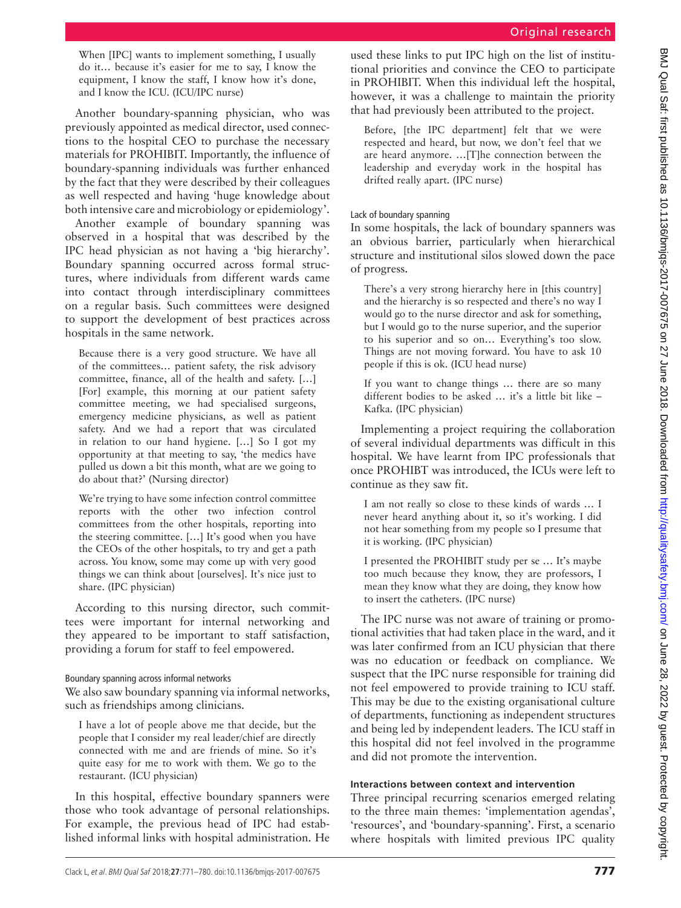When [IPC] wants to implement something, I usually do it… because it's easier for me to say, I know the equipment, I know the staff, I know how it's done, and I know the ICU. (ICU/IPC nurse)

Another boundary-spanning physician, who was previously appointed as medical director, used connections to the hospital CEO to purchase the necessary materials for PROHIBIT. Importantly, the influence of boundary-spanning individuals was further enhanced by the fact that they were described by their colleagues as well respected and having 'huge knowledge about both intensive care and microbiology or epidemiology'.

Another example of boundary spanning was observed in a hospital that was described by the IPC head physician as not having a 'big hierarchy'. Boundary spanning occurred across formal structures, where individuals from different wards came into contact through interdisciplinary committees on a regular basis. Such committees were designed to support the development of best practices across hospitals in the same network.

Because there is a very good structure. We have all of the committees… patient safety, the risk advisory committee, finance, all of the health and safety. […] [For] example, this morning at our patient safety committee meeting, we had specialised surgeons, emergency medicine physicians, as well as patient safety. And we had a report that was circulated in relation to our hand hygiene. […] So I got my opportunity at that meeting to say, 'the medics have pulled us down a bit this month, what are we going to do about that?' (Nursing director)

We're trying to have some infection control committee reports with the other two infection control committees from the other hospitals, reporting into the steering committee. […] It's good when you have the CEOs of the other hospitals, to try and get a path across. You know, some may come up with very good things we can think about [ourselves]. It's nice just to share. (IPC physician)

According to this nursing director, such committees were important for internal networking and they appeared to be important to staff satisfaction, providing a forum for staff to feel empowered.

### Boundary spanning across informal networks

We also saw boundary spanning via informal networks, such as friendships among clinicians.

I have a lot of people above me that decide, but the people that I consider my real leader/chief are directly connected with me and are friends of mine. So it's quite easy for me to work with them. We go to the restaurant. (ICU physician)

In this hospital, effective boundary spanners were those who took advantage of personal relationships. For example, the previous head of IPC had established informal links with hospital administration. He

used these links to put IPC high on the list of institutional priorities and convince the CEO to participate in PROHIBIT. When this individual left the hospital, however, it was a challenge to maintain the priority that had previously been attributed to the project.

Before, [the IPC department] felt that we were respected and heard, but now, we don't feel that we are heard anymore. …[T]he connection between the leadership and everyday work in the hospital has drifted really apart. (IPC nurse)

### Lack of boundary spanning

In some hospitals, the lack of boundary spanners was an obvious barrier, particularly when hierarchical structure and institutional silos slowed down the pace of progress.

There's a very strong hierarchy here in [this country] and the hierarchy is so respected and there's no way I would go to the nurse director and ask for something, but I would go to the nurse superior, and the superior to his superior and so on… Everything's too slow. Things are not moving forward. You have to ask 10 people if this is ok. (ICU head nurse)

If you want to change things … there are so many different bodies to be asked … it's a little bit like – Kafka. (IPC physician)

Implementing a project requiring the collaboration of several individual departments was difficult in this hospital. We have learnt from IPC professionals that once PROHIBT was introduced, the ICUs were left to continue as they saw fit.

I am not really so close to these kinds of wards … I never heard anything about it, so it's working. I did not hear something from my people so I presume that it is working. (IPC physician)

I presented the PROHIBIT study per se … It's maybe too much because they know, they are professors, I mean they know what they are doing, they know how to insert the catheters. (IPC nurse)

The IPC nurse was not aware of training or promotional activities that had taken place in the ward, and it was later confirmed from an ICU physician that there was no education or feedback on compliance. We suspect that the IPC nurse responsible for training did not feel empowered to provide training to ICU staff. This may be due to the existing organisational culture of departments, functioning as independent structures and being led by independent leaders. The ICU staff in this hospital did not feel involved in the programme and did not promote the intervention.

### **Interactions between context and intervention**

Three principal recurring scenarios emerged relating to the three main themes: 'implementation agendas', 'resources', and 'boundary-spanning'. First, a scenario where hospitals with limited previous IPC quality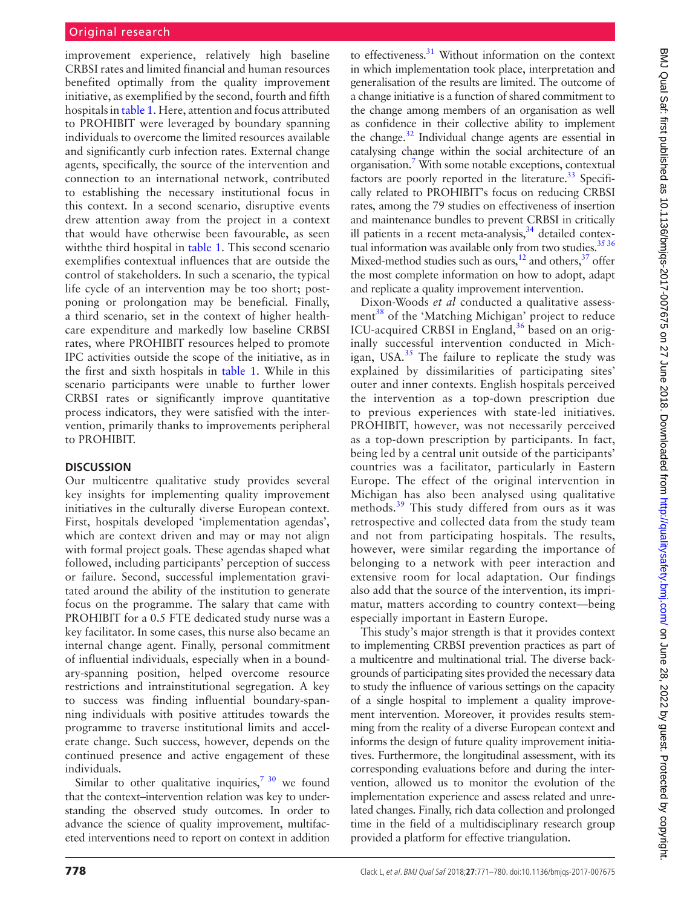### Original research

improvement experience, relatively high baseline CRBSI rates and limited financial and human resources benefited optimally from the quality improvement initiative, as exemplified by the second, fourth and fifth hospitals in [table](#page-3-0) 1. Here, attention and focus attributed to PROHIBIT were leveraged by boundary spanning individuals to overcome the limited resources available and significantly curb infection rates. External change agents, specifically, the source of the intervention and connection to an international network, contributed to establishing the necessary institutional focus in this context. In a second scenario, disruptive events drew attention away from the project in a context that would have otherwise been favourable, as seen with the third hospital in [table](#page-3-0) 1. This second scenario exemplifies contextual influences that are outside the control of stakeholders. In such a scenario, the typical life cycle of an intervention may be too short; postponing or prolongation may be beneficial. Finally, a third scenario, set in the context of higher healthcare expenditure and markedly low baseline CRBSI rates, where PROHIBIT resources helped to promote IPC activities outside the scope of the initiative, as in the first and sixth hospitals in [table](#page-3-0) 1. While in this scenario participants were unable to further lower CRBSI rates or significantly improve quantitative process indicators, they were satisfied with the intervention, primarily thanks to improvements peripheral to PROHIBIT.

### **Discussion**

Our multicentre qualitative study provides several key insights for implementing quality improvement initiatives in the culturally diverse European context. First, hospitals developed 'implementation agendas', which are context driven and may or may not align with formal project goals. These agendas shaped what followed, including participants' perception of success or failure. Second, successful implementation gravitated around the ability of the institution to generate focus on the programme. The salary that came with PROHIBIT for a 0.5 FTE dedicated study nurse was a key facilitator. In some cases, this nurse also became an internal change agent. Finally, personal commitment of influential individuals, especially when in a boundary-spanning position, helped overcome resource restrictions and intrainstitutional segregation. A key to success was finding influential boundary-spanning individuals with positive attitudes towards the programme to traverse institutional limits and accelerate change. Such success, however, depends on the continued presence and active engagement of these individuals.

Similar to other qualitative inquiries,  $7^{30}$  we found that the context–intervention relation was key to understanding the observed study outcomes. In order to advance the science of quality improvement, multifaceted interventions need to report on context in addition

to effectiveness.<sup>31</sup> Without information on the context in which implementation took place, interpretation and generalisation of the results are limited. The outcome of a change initiative is a function of shared commitment to the change among members of an organisation as well as confidence in their collective ability to implement the change[.32](#page-9-13) Individual change agents are essential in catalysing change within the social architecture of an organisation.<sup>7</sup> With some notable exceptions, contextual factors are poorly reported in the literature.<sup>33</sup> Specifically related to PROHIBIT's focus on reducing CRBSI rates, among the 79 studies on effectiveness of insertion and maintenance bundles to prevent CRBSI in critically ill patients in a recent meta-analysis, $34$  detailed contextual information was available only from two studies.<sup>35 36</sup> Mixed-method studies such as ours, $12$  and others, $37$  offer the most complete information on how to adopt, adapt and replicate a quality improvement intervention.

Dixon-Woods *et al* conducted a qualitative assess-ment<sup>[38](#page-9-18)</sup> of the 'Matching Michigan' project to reduce ICU-acquired CRBSI in England,<sup>[36](#page-9-19)</sup> based on an originally successful intervention conducted in Michigan, USA. $35$  The failure to replicate the study was explained by dissimilarities of participating sites' outer and inner contexts. English hospitals perceived the intervention as a top-down prescription due to previous experiences with state-led initiatives. PROHIBIT, however, was not necessarily perceived as a top-down prescription by participants. In fact, being led by a central unit outside of the participants' countries was a facilitator, particularly in Eastern Europe. The effect of the original intervention in Michigan has also been analysed using qualitative methods.[39](#page-9-20) This study differed from ours as it was retrospective and collected data from the study team and not from participating hospitals. The results, however, were similar regarding the importance of belonging to a network with peer interaction and extensive room for local adaptation. Our findings also add that the source of the intervention, its imprimatur, matters according to country context—being especially important in Eastern Europe.

This study's major strength is that it provides context to implementing CRBSI prevention practices as part of a multicentre and multinational trial. The diverse backgrounds of participating sites provided the necessary data to study the influence of various settings on the capacity of a single hospital to implement a quality improvement intervention. Moreover, it provides results stemming from the reality of a diverse European context and informs the design of future quality improvement initiatives. Furthermore, the longitudinal assessment, with its corresponding evaluations before and during the intervention, allowed us to monitor the evolution of the implementation experience and assess related and unrelated changes. Finally, rich data collection and prolonged time in the field of a multidisciplinary research group provided a platform for effective triangulation.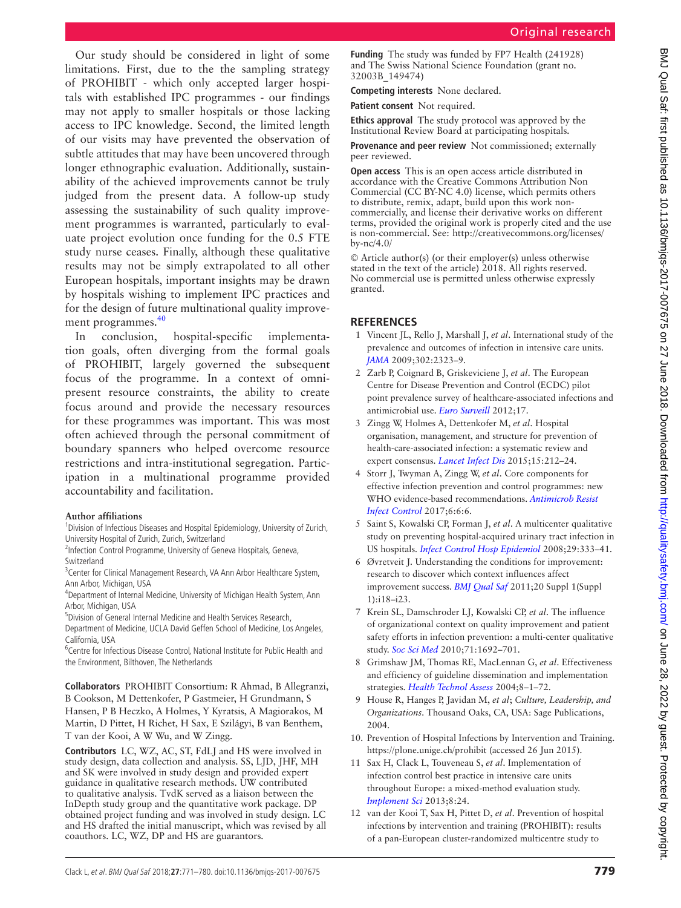Our study should be considered in light of some limitations. First, due to the the sampling strategy of PROHIBIT - which only accepted larger hospitals with established IPC programmes - our findings may not apply to smaller hospitals or those lacking access to IPC knowledge. Second, the limited length of our visits may have prevented the observation of subtle attitudes that may have been uncovered through longer ethnographic evaluation. Additionally, sustainability of the achieved improvements cannot be truly judged from the present data. A follow-up study assessing the sustainability of such quality improvement programmes is warranted, particularly to evaluate project evolution once funding for the 0.5 FTE study nurse ceases. Finally, although these qualitative results may not be simply extrapolated to all other European hospitals, important insights may be drawn by hospitals wishing to implement IPC practices and for the design of future multinational quality improve-ment programmes.<sup>[40](#page-9-21)</sup>

In conclusion, hospital-specific implementation goals, often diverging from the formal goals of PROHIBIT, largely governed the subsequent focus of the programme. In a context of omnipresent resource constraints, the ability to create focus around and provide the necessary resources for these programmes was important. This was most often achieved through the personal commitment of boundary spanners who helped overcome resource restrictions and intra-institutional segregation. Participation in a multinational programme provided accountability and facilitation.

### **Author affiliations**

<sup>1</sup> Division of Infectious Diseases and Hospital Epidemiology, University of Zurich, University Hospital of Zurich, Zurich, Switzerland

<sup>2</sup>Infection Control Programme, University of Geneva Hospitals, Geneva, Switzerland

<sup>3</sup> Center for Clinical Management Research, VA Ann Arbor Healthcare System, Ann Arbor, Michigan, USA

<sup>4</sup>Department of Internal Medicine, University of Michigan Health System, Ann Arbor, Michigan, USA

5 Division of General Internal Medicine and Health Services Research,

Department of Medicine, UCLA David Geffen School of Medicine, Los Angeles, California, USA

<sup>6</sup>Centre for Infectious Disease Control, National Institute for Public Health and the Environment, Bilthoven, The Netherlands

**Collaborators** PROHIBIT Consortium: R Ahmad, B Allegranzi, B Cookson, M Dettenkofer, P Gastmeier, H Grundmann, S Hansen, P B Heczko, A Holmes, Y Kyratsis, A Magiorakos, M Martin, D Pittet, H Richet, H Sax, E Szilágyi, B van Benthem, T van der Kooi, A W Wu, and W Zingg.

**Contributors** LC, WZ, AC, ST, FdLJ and HS were involved in study design, data collection and analysis. SS, LJD, JHF, MH and SK were involved in study design and provided expert guidance in qualitative research methods. UW contributed to qualitative analysis. TvdK served as a liaison between the InDepth study group and the quantitative work package. DP obtained project funding and was involved in study design. LC and HS drafted the initial manuscript, which was revised by all coauthors. LC, WZ, DP and HS are guarantors.

**Funding** The study was funded by FP7 Health (241928) and The Swiss National Science Foundation (grant no. 32003B\_149474)

**Competing interests** None declared.

**Patient consent** Not required.

**Ethics approval** The study protocol was approved by the Institutional Review Board at participating hospitals.

**Provenance and peer review** Not commissioned; externally peer reviewed.

**Open access** This is an open access article distributed in accordance with the Creative Commons Attribution Non Commercial (CC BY-NC 4.0) license, which permits others to distribute, remix, adapt, build upon this work noncommercially, and license their derivative works on different terms, provided the original work is properly cited and the use is non-commercial. See: [http://creativecommons.org/licenses/](http://creativecommons.org/licenses/by-nc/4.0/)  $bv$ -nc/4.0/

© Article author(s) (or their employer(s) unless otherwise stated in the text of the article) 2018. All rights reserved. No commercial use is permitted unless otherwise expressly granted.

# **References**

- <span id="page-8-0"></span>1 Vincent JL, Rello J, Marshall J, *et al*. International study of the prevalence and outcomes of infection in intensive care units. *[JAMA](http://dx.doi.org/10.1001/jama.2009.1754)* 2009;302:2323–9.
- <span id="page-8-1"></span>2 Zarb P, Coignard B, Griskeviciene J, *et al*. The European Centre for Disease Prevention and Control (ECDC) pilot point prevalence survey of healthcare-associated infections and antimicrobial use. *[Euro Surveill](http://dx.doi.org/10.2807/ese.17.46.20316-en)* 2012;17.
- <span id="page-8-2"></span>3 Zingg W, Holmes A, Dettenkofer M, *et al*. Hospital organisation, management, and structure for prevention of health-care-associated infection: a systematic review and expert consensus. *[Lancet Infect Dis](http://dx.doi.org/10.1016/S1473-3099(14)70854-0)* 2015;15:212–24.
- 4 Storr J, Twyman A, Zingg W, *et al*. Core components for effective infection prevention and control programmes: new WHO evidence-based recommendations. *[Antimicrob Resist](http://dx.doi.org/10.1186/s13756-016-0149-9)  [Infect Control](http://dx.doi.org/10.1186/s13756-016-0149-9)* 2017;6:6:6.
- <span id="page-8-3"></span>5 Saint S, Kowalski CP, Forman J, *et al*. A multicenter qualitative study on preventing hospital-acquired urinary tract infection in US hospitals. *[Infect Control Hosp Epidemiol](http://dx.doi.org/10.1086/529589)* 2008;29:333–41.
- <span id="page-8-4"></span>6 Øvretveit J. Understanding the conditions for improvement: research to discover which context influences affect improvement success. *[BMJ Qual Saf](http://dx.doi.org/10.1136/bmjqs.2010.045955)* 2011;20 Suppl 1(Suppl 1):i18–i23.
- <span id="page-8-5"></span>7 Krein SL, Damschroder LJ, Kowalski CP, *et al*. The influence of organizational context on quality improvement and patient safety efforts in infection prevention: a multi-center qualitative study. *[Soc Sci Med](http://dx.doi.org/10.1016/j.socscimed.2010.07.041)* 2010;71:1692–701.
- 8 Grimshaw JM, Thomas RE, MacLennan G, *et al*. Effectiveness and efficiency of guideline dissemination and implementation strategies. *[Health Technol Assess](http://dx.doi.org/10.3310/hta8060)* 2004;8–1–72.
- <span id="page-8-6"></span>9 House R, Hanges P, Javidan M, *et al*; *Culture, Leadership, and Organizations*. Thousand Oaks, CA, USA: Sage Publications, 2004.
- <span id="page-8-7"></span>10. Prevention of Hospital Infections by Intervention and Training. <https://plone.unige.ch/prohibit>(accessed 26 Jun 2015).
- <span id="page-8-8"></span>11 Sax H, Clack L, Touveneau S, *et al*. Implementation of infection control best practice in intensive care units throughout Europe: a mixed-method evaluation study. *[Implement Sci](http://dx.doi.org/10.1186/1748-5908-8-24)* 2013;8:24.
- <span id="page-8-9"></span>12 van der Kooi T, Sax H, Pittet D, *et al*. Prevention of hospital infections by intervention and training (PROHIBIT): results of a pan-European cluster-randomized multicentre study to